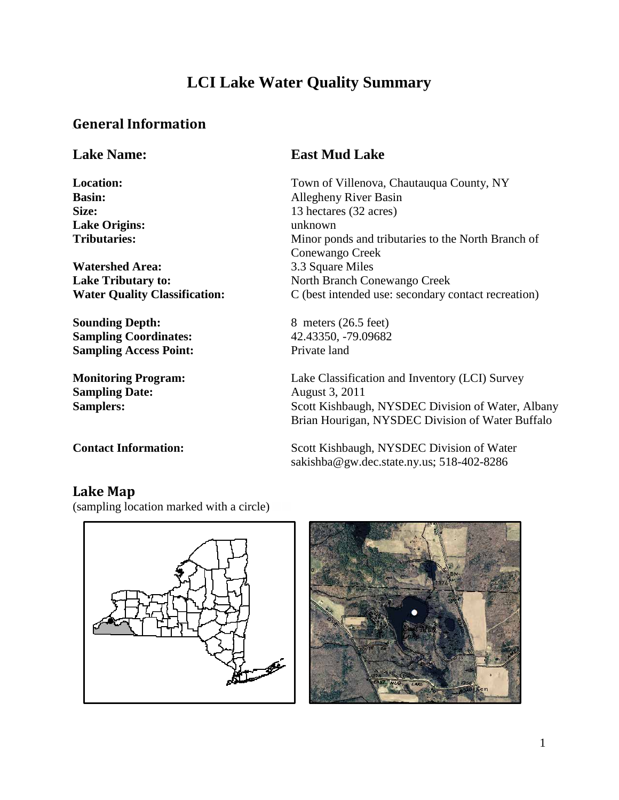## **LCI Lake Water Quality Summary**

## *0B***General Information**

**Lake Origins:** 

**Watershed Area:** 3.3 Square Miles

**Sounding Depth:** 8 meters (26.5 feet) **Sampling Coordinates:** 42.43350, -79.09682 **Sampling Access Point:** Private land

**Sampling Date:** August 3, 2011

#### **Lake Name: East Mud Lake**

**Location:** Town of Villenova, Chautauqua County, NY **Basin:** Allegheny River Basin Size: 13 hectares (32 acres)<br>
Lake Origins: 13 hectares (32 acres) **Tributaries:** Minor ponds and tributaries to the North Branch of Conewango Creek **Lake Tributary to:** North Branch Conewango Creek **Water Quality Classification:** C (best intended use: secondary contact recreation)

**Monitoring Program:** Lake Classification and Inventory (LCI) Survey **Samplers:** Scott Kishbaugh, NYSDEC Division of Water, Albany Brian Hourigan, NYSDEC Division of Water Buffalo

**Contact Information:** Scott Kishbaugh, NYSDEC Division of Water sakishba@gw.dec.state.ny.us[;](mailto:djnewman@gw.dec.state.ny.us) 518-402-8286

## Lake Map

(sampling location marked with a circle)



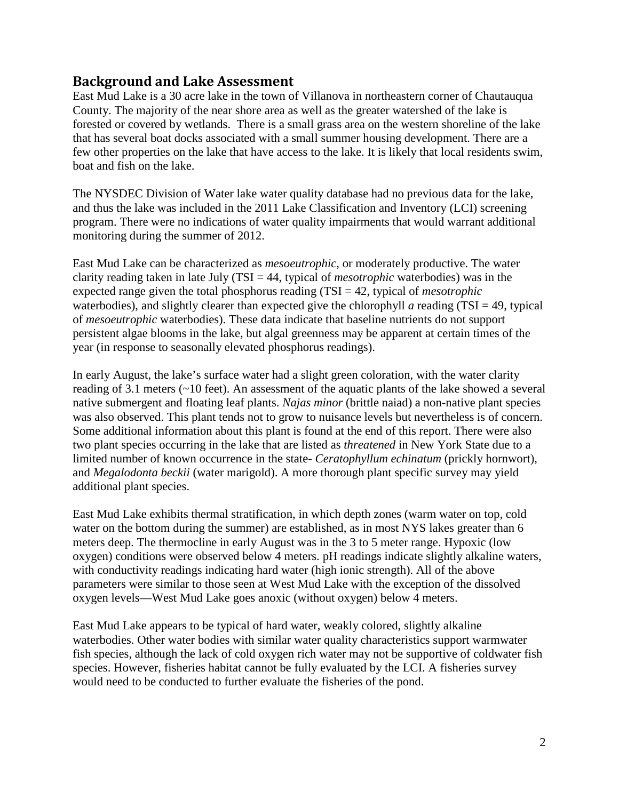#### *2B***Background and Lake Assessment**

East Mud Lake is a 30 acre lake in the town of Villanova in northeastern corner of Chautauqua County. The majority of the near shore area as well as the greater watershed of the lake is forested or covered by wetlands. There is a small grass area on the western shoreline of the lake that has several boat docks associated with a small summer housing development. There are a few other properties on the lake that have access to the lake. It is likely that local residents swim, boat and fish on the lake.

The NYSDEC Division of Water lake water quality database had no previous data for the lake, and thus the lake was included in the 2011 Lake Classification and Inventory (LCI) screening program. There were no indications of water quality impairments that would warrant additional monitoring during the summer of 2012.

East Mud Lake can be characterized as *mesoeutrophic*, or moderately productive. The water clarity reading taken in late July (TSI = 44, typical of *mesotrophic* waterbodies) was in the expected range given the total phosphorus reading (TSI = 42, typical of *mesotrophic* waterbodies), and slightly clearer than expected give the chlorophyll *a* reading (TSI = 49, typical of *mesoeutrophic* waterbodies). These data indicate that baseline nutrients do not support persistent algae blooms in the lake, but algal greenness may be apparent at certain times of the year (in response to seasonally elevated phosphorus readings).

In early August, the lake's surface water had a slight green coloration, with the water clarity reading of 3.1 meters (~10 feet). An assessment of the aquatic plants of the lake showed a several native submergent and floating leaf plants. *Najas minor* (brittle naiad) a non-native plant species was also observed. This plant tends not to grow to nuisance levels but nevertheless is of concern. Some additional information about this plant is found at the end of this report. There were also two plant species occurring in the lake that are listed as *threatened* in New York State due to a limited number of known occurrence in the state- *Ceratophyllum echinatum* (prickly hornwort), and *Megalodonta beckii* (water marigold). A more thorough plant specific survey may yield additional plant species.

East Mud Lake exhibits thermal stratification, in which depth zones (warm water on top, cold water on the bottom during the summer) are established, as in most NYS lakes greater than 6 meters deep. The thermocline in early August was in the 3 to 5 meter range. Hypoxic (low oxygen) conditions were observed below 4 meters. pH readings indicate slightly alkaline waters, with conductivity readings indicating hard water (high ionic strength). All of the above parameters were similar to those seen at West Mud Lake with the exception of the dissolved oxygen levels—West Mud Lake goes anoxic (without oxygen) below 4 meters.

East Mud Lake appears to be typical of hard water, weakly colored, slightly alkaline waterbodies. Other water bodies with similar water quality characteristics support warmwater fish species, although the lack of cold oxygen rich water may not be supportive of coldwater fish species. However, fisheries habitat cannot be fully evaluated by the LCI. A fisheries survey would need to be conducted to further evaluate the fisheries of the pond.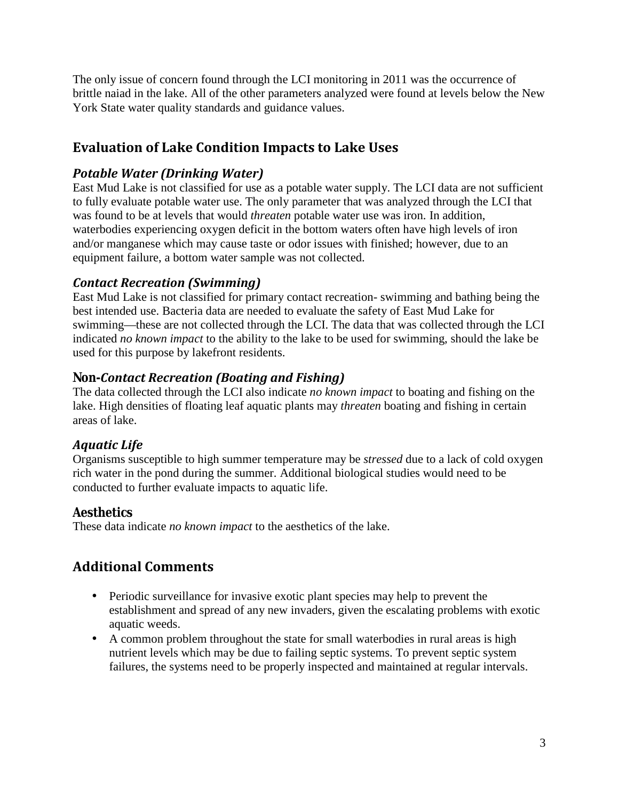The only issue of concern found through the LCI monitoring in 2011 was the occurrence of brittle naiad in the lake. All of the other parameters analyzed were found at levels below the New York State water quality standards and guidance values.

## *3B***Evaluation of Lake Condition Impacts to Lake Uses**

## *1BPotable Water (Drinking Water)*

East Mud Lake is not classified for use as a potable water supply. The LCI data are not sufficient to fully evaluate potable water use. The only parameter that was analyzed through the LCI that was found to be at levels that would *threaten* potable water use was iron. In addition, waterbodies experiencing oxygen deficit in the bottom waters often have high levels of iron and/or manganese which may cause taste or odor issues with finished; however, due to an equipment failure, a bottom water sample was not collected.

## *Contact Recreation (Swimming)*

East Mud Lake is not classified for primary contact recreation- swimming and bathing being the best intended use. Bacteria data are needed to evaluate the safety of East Mud Lake for swimming—these are not collected through the LCI. The data that was collected through the LCI indicated *no known impact* to the ability to the lake to be used for swimming, should the lake be used for this purpose by lakefront residents.

## *13BNon-Contact Recreation (Boating and Fishing)*

The data collected through the LCI also indicate *no known impact* to boating and fishing on the lake. High densities of floating leaf aquatic plants may *threaten* boating and fishing in certain areas of lake.

## *14BAquatic Life*

Organisms susceptible to high summer temperature may be *stressed* due to a lack of cold oxygen rich water in the pond during the summer. Additional biological studies would need to be conducted to further evaluate impacts to aquatic life.

## *15BAesthetics*

These data indicate *no known impact* to the aesthetics of the lake.

## *4B***Additional Comments**

- Periodic surveillance for invasive exotic plant species may help to prevent the establishment and spread of any new invaders, given the escalating problems with exotic aquatic weeds.
- A common problem throughout the state for small waterbodies in rural areas is high nutrient levels which may be due to failing septic systems. To prevent septic system failures, the systems need to be properly inspected and maintained at regular intervals.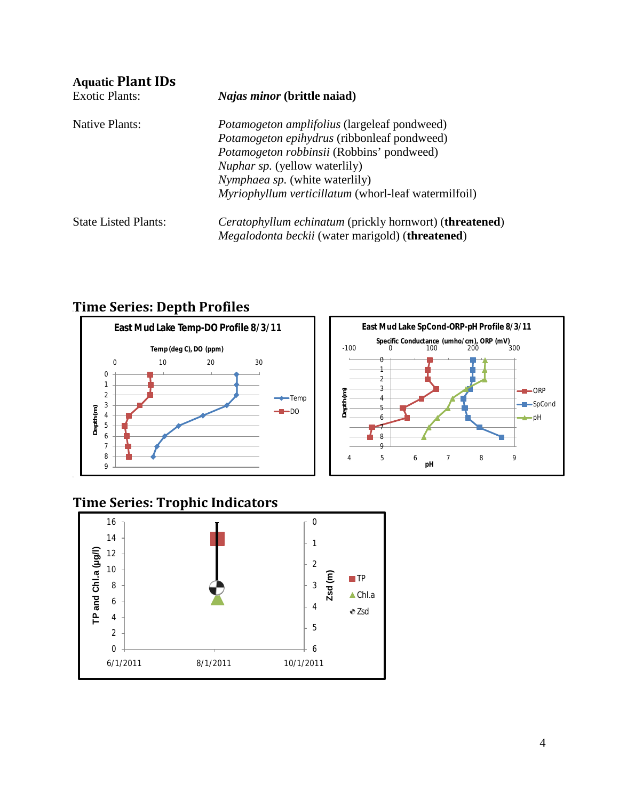| <b>Aquatic Plant IDs</b>    |                                                                         |  |
|-----------------------------|-------------------------------------------------------------------------|--|
| <b>Exotic Plants:</b>       | <i>Najas minor</i> (brittle naiad)                                      |  |
| Native Plants:              | <i>Potamogeton amplifolius</i> (largeleaf pondweed)                     |  |
|                             | <i>Potamogeton epihydrus</i> (ribbonleaf pondweed)                      |  |
|                             | Potamogeton robbinsii (Robbins' pondweed)                               |  |
|                             | <i>Nuphar sp.</i> (yellow waterlily)                                    |  |
|                             | Nymphaea sp. (white waterlily)                                          |  |
|                             | Myriophyllum verticillatum (whorl-leaf watermilfoil)                    |  |
| <b>State Listed Plants:</b> | <i>Ceratophyllum echinatum</i> (prickly hornwort) ( <b>threatened</b> ) |  |
|                             | <i>Megalodonta beckii</i> (water marigold) ( <b>threatened</b> )        |  |

## *6B***Time Series: Depth Profiles**





## **Time Series: Trophic Indicators**

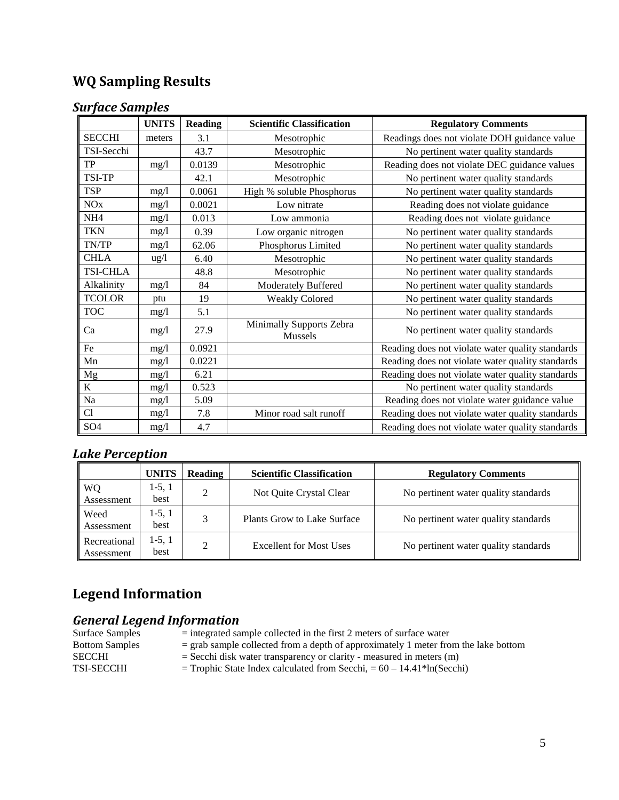## *8B***WQ Sampling Results**

#### *Surface Samples*

|                 | <b>UNITS</b>    | <b>Reading</b> | <b>Scientific Classification</b>    | <b>Regulatory Comments</b>                       |
|-----------------|-----------------|----------------|-------------------------------------|--------------------------------------------------|
| <b>SECCHI</b>   | meters          | 3.1            | Mesotrophic                         | Readings does not violate DOH guidance value     |
| TSI-Secchi      |                 | 43.7           | Mesotrophic                         | No pertinent water quality standards             |
| TP              | mg/l            | 0.0139         | Mesotrophic                         | Reading does not violate DEC guidance values     |
| TSI-TP          |                 | 42.1           | Mesotrophic                         | No pertinent water quality standards             |
| <b>TSP</b>      | mg/l            | 0.0061         | High % soluble Phosphorus           | No pertinent water quality standards             |
| <b>NO</b> x     | mg/l            | 0.0021         | Low nitrate                         | Reading does not violate guidance                |
| NH <sub>4</sub> | mg/l            | 0.013          | Low ammonia                         | Reading does not violate guidance                |
| <b>TKN</b>      | mg/1            | 0.39           | Low organic nitrogen                | No pertinent water quality standards             |
| TN/TP           | mg/1            | 62.06          | Phosphorus Limited                  | No pertinent water quality standards             |
| <b>CHLA</b>     | $\frac{u g}{l}$ | 6.40           | Mesotrophic                         | No pertinent water quality standards             |
| <b>TSI-CHLA</b> |                 | 48.8           | Mesotrophic                         | No pertinent water quality standards             |
| Alkalinity      | mg/l            | 84             | <b>Moderately Buffered</b>          | No pertinent water quality standards             |
| <b>TCOLOR</b>   | ptu             | 19             | <b>Weakly Colored</b>               | No pertinent water quality standards             |
| <b>TOC</b>      | mg/1            | 5.1            |                                     | No pertinent water quality standards             |
| Ca              | mg/l            | 27.9           | Minimally Supports Zebra<br>Mussels | No pertinent water quality standards             |
| Fe              | mg/l            | 0.0921         |                                     | Reading does not violate water quality standards |
| Mn              | mg/l            | 0.0221         |                                     | Reading does not violate water quality standards |
| $_{\rm Mg}$     | mg/l            | 6.21           |                                     | Reading does not violate water quality standards |
| $\mathbf K$     | mg/l            | 0.523          |                                     | No pertinent water quality standards             |
| Na              | mg/l            | 5.09           |                                     | Reading does not violate water guidance value    |
| Cl              | mg/l            | 7.8            | Minor road salt runoff              | Reading does not violate water quality standards |
| SO <sub>4</sub> | mg/l            | 4.7            |                                     | Reading does not violate water quality standards |

#### *Lake Perception*

|                            | <b>UNITS</b>     | Reading       | <b>Scientific Classification</b> | <b>Regulatory Comments</b>           |
|----------------------------|------------------|---------------|----------------------------------|--------------------------------------|
| WQ<br>Assessment           | $1-5, 1$<br>best | $\mathcal{D}$ | Not Quite Crystal Clear          | No pertinent water quality standards |
| Weed<br>Assessment         | $1-5, 1$<br>best | 3             | Plants Grow to Lake Surface      | No pertinent water quality standards |
| Recreational<br>Assessment | $1-5, 1$<br>best | ↑             | Excellent for Most Uses          | No pertinent water quality standards |

## *Legend Information*

# *<u>19B General Legend Information<br>*  $\frac{1}{2}$  *integrated sa*</u>

- Surface Samples = integrated sample collected in the first 2 meters of surface water<br>Bottom Samples = grab sample collected from a depth of approximately 1 meter from
	- $=$  grab sample collected from a depth of approximately 1 meter from the lake bottom
- SECCHI = Secchi disk water transparency or clarity measured in meters (m)<br>TSI-SECCHI = Trophic State Index calculated from Secchi, =  $60 14.41$ <sup>\*</sup>ln(Secchi
	- $=$  Trophic State Index calculated from Secchi,  $= 60 14.41*ln(Secchi)$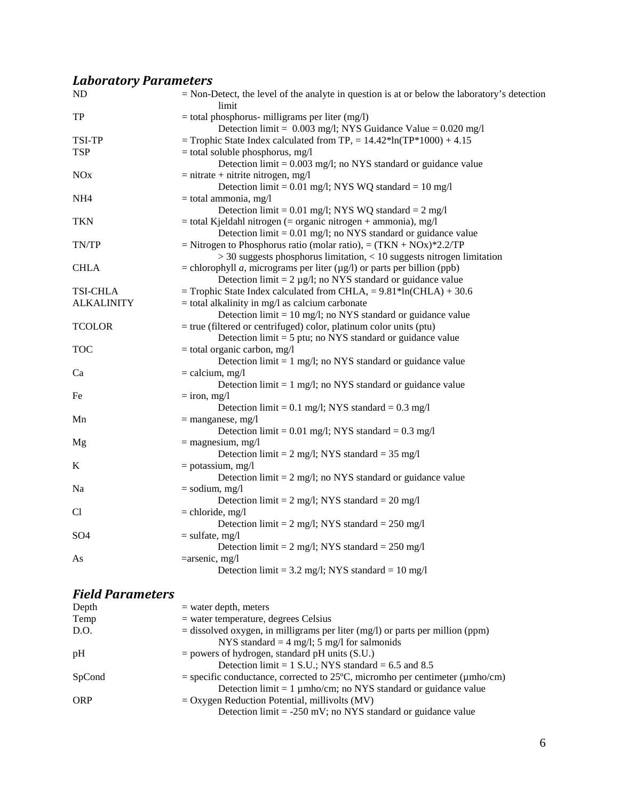## *Laboratory Parameters*

| ND                | $=$ Non-Detect, the level of the analyte in question is at or below the laboratory's detection<br>limit |
|-------------------|---------------------------------------------------------------------------------------------------------|
| TP                | $=$ total phosphorus- milligrams per liter (mg/l)                                                       |
|                   | Detection limit = $0.003$ mg/l; NYS Guidance Value = $0.020$ mg/l                                       |
| <b>TSI-TP</b>     | = Trophic State Index calculated from TP, = $14.42*ln(TP*1000) + 4.15$                                  |
| <b>TSP</b>        | $=$ total soluble phosphorus, mg/l                                                                      |
|                   | Detection $\text{limit} = 0.003 \text{ mg/l}$ ; no NYS standard or guidance value                       |
| <b>NOx</b>        | $=$ nitrate + nitrite nitrogen, mg/l                                                                    |
|                   | Detection limit = $0.01$ mg/l; NYS WQ standard = $10$ mg/l                                              |
| NH <sub>4</sub>   | $=$ total ammonia, mg/l                                                                                 |
|                   | Detection limit = $0.01$ mg/l; NYS WQ standard = $2$ mg/l                                               |
| <b>TKN</b>        | $=$ total Kjeldahl nitrogen ( $=$ organic nitrogen $+$ ammonia), mg/l                                   |
|                   | Detection $\lim_{t=0} 0.01$ mg/l; no NYS standard or guidance value                                     |
| TN/TP             | = Nitrogen to Phosphorus ratio (molar ratio), = $(TKN + NOx)*2.2/TP$                                    |
|                   | $>$ 30 suggests phosphorus limitation, $<$ 10 suggests nitrogen limitation                              |
| <b>CHLA</b>       | = chlorophyll <i>a</i> , micrograms per liter $(\mu g/l)$ or parts per billion (ppb)                    |
|                   | Detection limit = $2 \mu g/l$ ; no NYS standard or guidance value                                       |
| <b>TSI-CHLA</b>   | = Trophic State Index calculated from CHLA, = $9.81*ln(CHLA) + 30.6$                                    |
| <b>ALKALINITY</b> | $=$ total alkalinity in mg/l as calcium carbonate                                                       |
|                   | Detection $\lim_{t=10}$ mg/l; no NYS standard or guidance value                                         |
| <b>TCOLOR</b>     | $=$ true (filtered or centrifuged) color, platinum color units (ptu)                                    |
|                   | Detection $\text{limit} = 5 \text{ put}; \text{ no NYS standard or guidance value}$                     |
| <b>TOC</b>        | $=$ total organic carbon, mg/l                                                                          |
|                   | Detection $\lim_{t=1}$ mg/l; no NYS standard or guidance value                                          |
| Ca                | $=$ calcium, mg/l                                                                                       |
|                   | Detection $\lim_{t=1}$ mg/l; no NYS standard or guidance value                                          |
| Fe                | $=$ iron, mg/l                                                                                          |
|                   | Detection limit = $0.1$ mg/l; NYS standard = $0.3$ mg/l                                                 |
| Mn                | $=$ manganese, mg/l                                                                                     |
|                   | Detection limit = $0.01$ mg/l; NYS standard = $0.3$ mg/l                                                |
| Mg                | $=$ magnesium, mg/l                                                                                     |
|                   | Detection limit = $2 \text{ mg/l}$ ; NYS standard = $35 \text{ mg/l}$                                   |
| K                 | $=$ potassium, mg/l                                                                                     |
|                   | Detection $\lim_{z \to z} 2 \text{ mg/l}$ ; no NYS standard or guidance value                           |
| Na                | $=$ sodium, mg/l                                                                                        |
|                   | Detection limit = $2 \text{ mg/l}$ ; NYS standard = $20 \text{ mg/l}$                                   |
| Cl                | $=$ chloride, mg/l                                                                                      |
|                   | Detection limit = $2$ mg/l; NYS standard = $250$ mg/l                                                   |
| SO <sub>4</sub>   | $=$ sulfate, mg/l                                                                                       |
|                   | Detection limit = $2 \text{ mg/l}$ ; NYS standard = $250 \text{ mg/l}$                                  |
| As                | $=$ arsenic, mg/l                                                                                       |
|                   | Detection limit = 3.2 mg/l; NYS standard = 10 mg/l                                                      |
|                   |                                                                                                         |
|                   |                                                                                                         |

#### *21BField Parameters*

| Depth      | $=$ water depth, meters                                                                      |
|------------|----------------------------------------------------------------------------------------------|
| Temp       | $=$ water temperature, degrees Celsius                                                       |
| D.O.       | $=$ dissolved oxygen, in milligrams per liter (mg/l) or parts per million (ppm)              |
|            | NYS standard = $4 \text{ mg/l}$ ; 5 mg/l for salmonids                                       |
| pH         | $=$ powers of hydrogen, standard pH units (S.U.)                                             |
|            | Detection limit = $1$ S.U.; NYS standard = 6.5 and 8.5                                       |
| SpCond     | = specific conductance, corrected to $25^{\circ}$ C, micromho per centimeter ( $\mu$ mho/cm) |
|            | Detection $\text{limit} = 1 \mu \text{mho/cm}$ ; no NYS standard or guidance value           |
| <b>ORP</b> | $=$ Oxygen Reduction Potential, millivolts (MV)                                              |
|            | Detection $\text{limit} = -250 \text{ mV}$ ; no NYS standard or guidance value               |
|            |                                                                                              |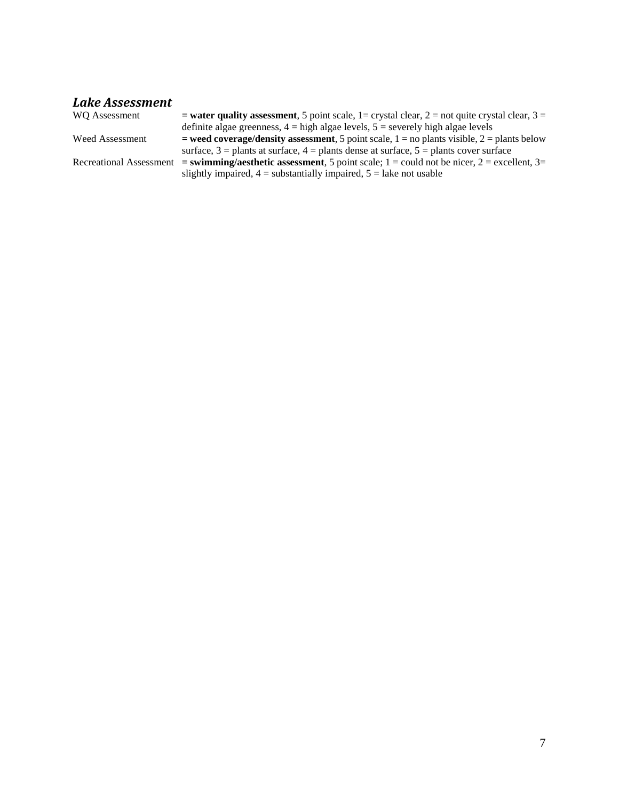## *Lake Assessment*

| WO Assessment           | = water quality assessment, 5 point scale, 1= crystal clear, 2 = not quite crystal clear, 3 =  |
|-------------------------|------------------------------------------------------------------------------------------------|
|                         | definite algae greenness, $4 =$ high algae levels, $5 =$ severely high algae levels            |
| Weed Assessment         | = weed coverage/density assessment, 5 point scale, $1 =$ no plants visible, $2 =$ plants below |
|                         | surface, $3$ = plants at surface, $4$ = plants dense at surface, $5$ = plants cover surface    |
| Recreational Assessment | $=$ swimming/aesthetic assessment, 5 point scale; 1 = could not be nicer, 2 = excellent, 3=    |
|                         | slightly impaired, $4 =$ substantially impaired, $5 =$ lake not usable                         |
|                         |                                                                                                |